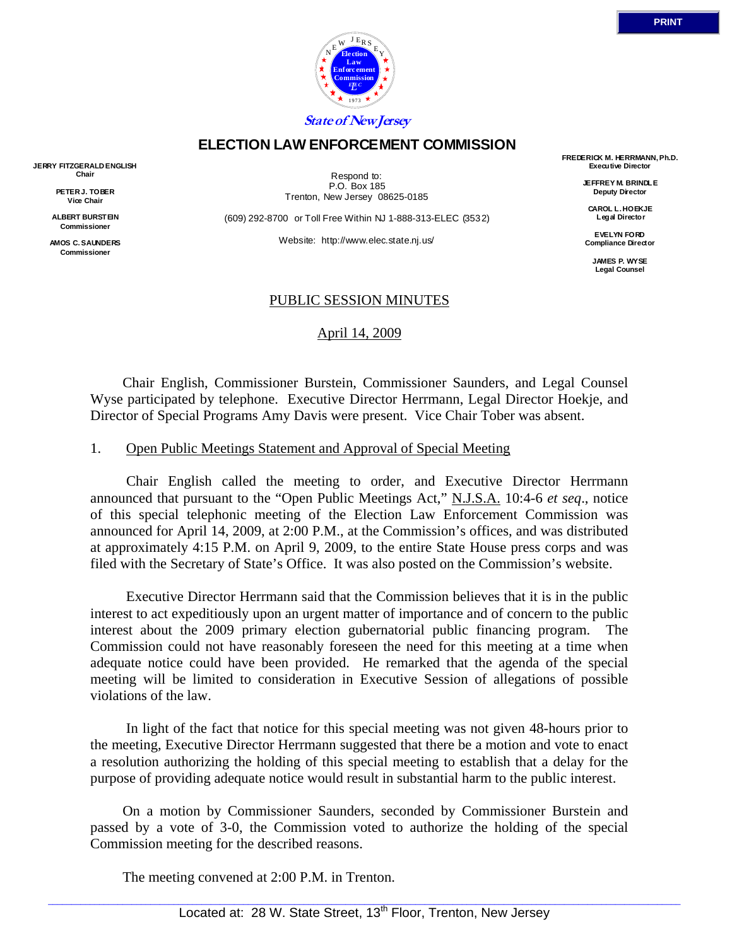

# **ELECTION LAW ENFORCEMENT COMMISSION**

**JERRY FITZGERALD ENGLISH Chair** 

> **PETER J. TOBER Vice Chair**

**ALBERT BURSTEIN Commissioner** 

**AMOS C. SAUNDERS Commissioner** 

Respond to: P.O. Box 185 Trenton, New Jersey 08625-0185

(609) 292-8700 or Toll Free Within NJ 1-888-313-ELEC (3532)

Website: http://www.elec.state.nj.us/

**FREDERICK M. HERRMANN, Ph.D. Executive Director** 

> **JEFFREY M. BRINDLE Deputy Director**

**CAROL L. HOEKJE Legal Director** 

**EVELYN FORD Compliance Director** 

> **JAMES P. WYSE Legal Counsel**

## PUBLIC SESSION MINUTES

April 14, 2009

 Chair English, Commissioner Burstein, Commissioner Saunders, and Legal Counsel Wyse participated by telephone. Executive Director Herrmann, Legal Director Hoekje, and Director of Special Programs Amy Davis were present. Vice Chair Tober was absent.

#### 1. Open Public Meetings Statement and Approval of Special Meeting

 Chair English called the meeting to order, and Executive Director Herrmann announced that pursuant to the "Open Public Meetings Act," N.J.S.A. 10:4-6 *et seq*., notice of this special telephonic meeting of the Election Law Enforcement Commission was announced for April 14, 2009, at 2:00 P.M., at the Commission's offices, and was distributed at approximately 4:15 P.M. on April 9, 2009, to the entire State House press corps and was filed with the Secretary of State's Office. It was also posted on the Commission's website.

 Executive Director Herrmann said that the Commission believes that it is in the public interest to act expeditiously upon an urgent matter of importance and of concern to the public interest about the 2009 primary election gubernatorial public financing program. The Commission could not have reasonably foreseen the need for this meeting at a time when adequate notice could have been provided. He remarked that the agenda of the special meeting will be limited to consideration in Executive Session of allegations of possible violations of the law.

 In light of the fact that notice for this special meeting was not given 48-hours prior to the meeting, Executive Director Herrmann suggested that there be a motion and vote to enact a resolution authorizing the holding of this special meeting to establish that a delay for the purpose of providing adequate notice would result in substantial harm to the public interest.

 On a motion by Commissioner Saunders, seconded by Commissioner Burstein and passed by a vote of 3-0, the Commission voted to authorize the holding of the special Commission meeting for the described reasons.

The meeting convened at 2:00 P.M. in Trenton.